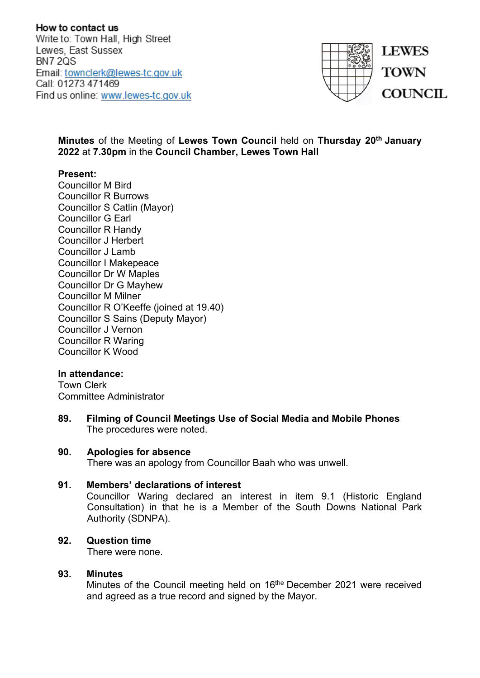How to contact us Write to: Town Hall, High Street Lewes, East Sussex **BN7 20S** Email: townclerk@lewes-tc.gov.uk Call: 01273 471469 Find us online: www.lewes-tc.gov.uk



**Minutes** of the Meeting of **Lewes Town Council** held on **Thursday 20th January 2022** at **7.30pm** in the **Council Chamber, Lewes Town Hall**

### **Present:**

Councillor M Bird Councillor R Burrows Councillor S Catlin (Mayor) Councillor G Earl Councillor R Handy Councillor J Herbert Councillor J Lamb Councillor I Makepeace Councillor Dr W Maples Councillor Dr G Mayhew Councillor M Milner Councillor R O'Keeffe (joined at 19.40) Councillor S Sains (Deputy Mayor) Councillor J Vernon Councillor R Waring Councillor K Wood

#### **In attendance:**

Town Clerk Committee Administrator

**89. Filming of Council Meetings Use of Social Media and Mobile Phones**  The procedures were noted.

#### **90. Apologies for absence**

There was an apology from Councillor Baah who was unwell.

### **91. Members' declarations of interest**

Councillor Waring declared an interest in item 9.1 (Historic England Consultation) in that he is a Member of the South Downs National Park Authority (SDNPA).

#### **92. Question time**

There were none.

#### **93. Minutes**

Minutes of the Council meeting held on 16<sup>the</sup> December 2021 were received and agreed as a true record and signed by the Mayor.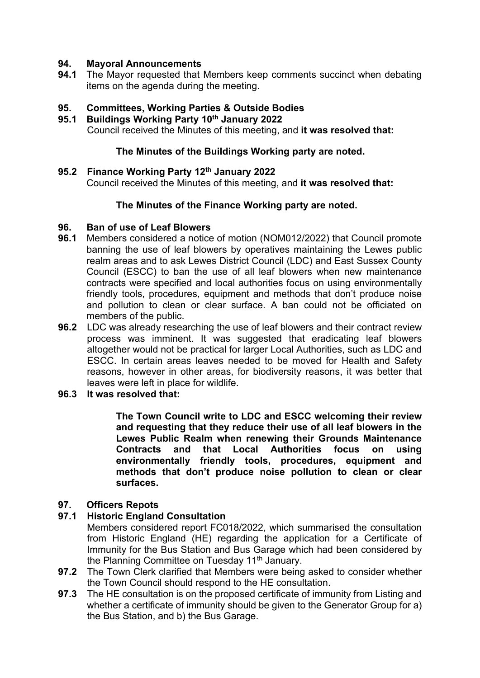# **94. Mayoral Announcements**

**94.1** The Mayor requested that Members keep comments succinct when debating items on the agenda during the meeting.

# **95. Committees, Working Parties & Outside Bodies**

**95.1 Buildings Working Party 10th January 2022** Council received the Minutes of this meeting, and **it was resolved that:**

### **The Minutes of the Buildings Working party are noted.**

**95.2 Finance Working Party 12th January 2022** Council received the Minutes of this meeting, and **it was resolved that:**

## **The Minutes of the Finance Working party are noted.**

# **96. Ban of use of Leaf Blowers**

- **96.1** Members considered a notice of motion (NOM012/2022) that Council promote banning the use of leaf blowers by operatives maintaining the Lewes public realm areas and to ask Lewes District Council (LDC) and East Sussex County Council (ESCC) to ban the use of all leaf blowers when new maintenance contracts were specified and local authorities focus on using environmentally friendly tools, procedures, equipment and methods that don't produce noise and pollution to clean or clear surface. A ban could not be officiated on members of the public.
- **96.2** LDC was already researching the use of leaf blowers and their contract review process was imminent. It was suggested that eradicating leaf blowers altogether would not be practical for larger Local Authorities, such as LDC and ESCC. In certain areas leaves needed to be moved for Health and Safety reasons, however in other areas, for biodiversity reasons, it was better that leaves were left in place for wildlife.

## **96.3 It was resolved that:**

**The Town Council write to LDC and ESCC welcoming their review and requesting that they reduce their use of all leaf blowers in the Lewes Public Realm when renewing their Grounds Maintenance Contracts and that Local Authorities focus on using environmentally friendly tools, procedures, equipment and methods that don't produce noise pollution to clean or clear surfaces.**

# **97. Officers Repots**

# **97.1 Historic England Consultation**

Members considered report FC018/2022, which summarised the consultation from Historic England (HE) regarding the application for a Certificate of Immunity for the Bus Station and Bus Garage which had been considered by the Planning Committee on Tuesday 11<sup>th</sup> January.

- **97.2** The Town Clerk clarified that Members were being asked to consider whether the Town Council should respond to the HE consultation.
- **97.3** The HE consultation is on the proposed certificate of immunity from Listing and whether a certificate of immunity should be given to the Generator Group for a) the Bus Station, and b) the Bus Garage.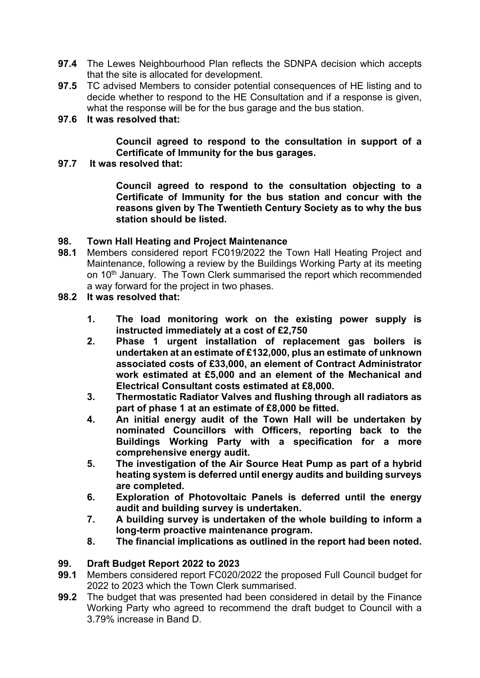- **97.4** The Lewes Neighbourhood Plan reflects the SDNPA decision which accepts that the site is allocated for development.
- **97.5** TC advised Members to consider potential consequences of HE listing and to decide whether to respond to the HE Consultation and if a response is given, what the response will be for the bus garage and the bus station.

## **97.6 It was resolved that:**

**Council agreed to respond to the consultation in support of a Certificate of Immunity for the bus garages.**

## **97.7 It was resolved that:**

**Council agreed to respond to the consultation objecting to a Certificate of Immunity for the bus station and concur with the reasons given by The Twentieth Century Society as to why the bus station should be listed.**

# **98. Town Hall Heating and Project Maintenance**

**98.1** Members considered report FC019/2022 the Town Hall Heating Project and Maintenance, following a review by the Buildings Working Party at its meeting on 10<sup>th</sup> January. The Town Clerk summarised the report which recommended a way forward for the project in two phases.

# **98.2 It was resolved that:**

- **1. The load monitoring work on the existing power supply is instructed immediately at a cost of £2,750**
- **2. Phase 1 urgent installation of replacement gas boilers is undertaken at an estimate of £132,000, plus an estimate of unknown associated costs of £33,000, an element of Contract Administrator work estimated at £5,000 and an element of the Mechanical and Electrical Consultant costs estimated at £8,000.**
- **3. Thermostatic Radiator Valves and flushing through all radiators as part of phase 1 at an estimate of £8,000 be fitted.**
- **4. An initial energy audit of the Town Hall will be undertaken by nominated Councillors with Officers, reporting back to the Buildings Working Party with a specification for a more comprehensive energy audit.**
- **5. The investigation of the Air Source Heat Pump as part of a hybrid heating system is deferred until energy audits and building surveys are completed.**
- **6. Exploration of Photovoltaic Panels is deferred until the energy audit and building survey is undertaken.**
- **7. A building survey is undertaken of the whole building to inform a long-term proactive maintenance program.**
- **8. The financial implications as outlined in the report had been noted.**

# **99. Draft Budget Report 2022 to 2023**

- **99.1** Members considered report FC020/2022 the proposed Full Council budget for 2022 to 2023 which the Town Clerk summarised.
- **99.2** The budget that was presented had been considered in detail by the Finance Working Party who agreed to recommend the draft budget to Council with a 3.79% increase in Band D.